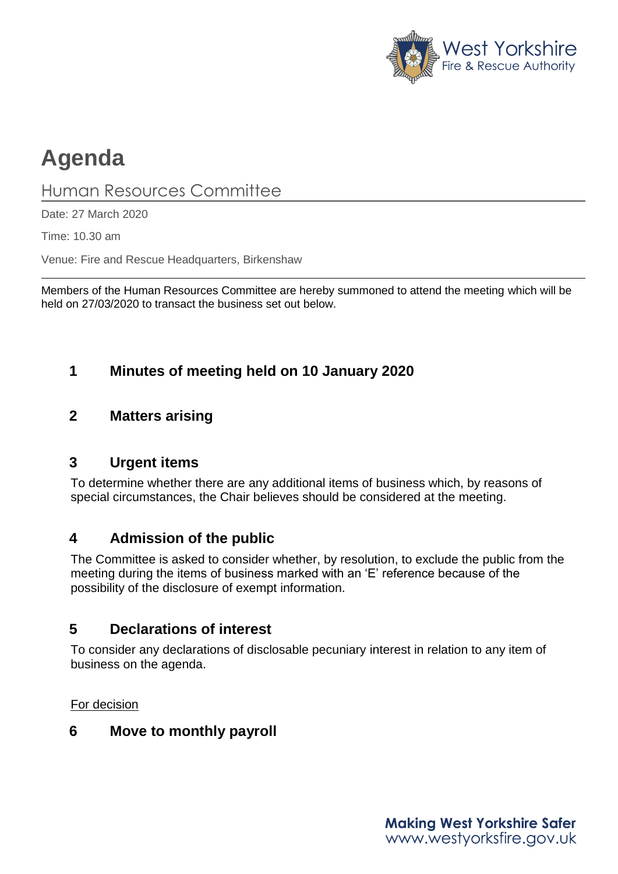

# **Agenda**

## Human Resources Committee

Date: 27 March 2020

Time: 10.30 am

Venue: Fire and Rescue Headquarters, Birkenshaw

Members of the Human Resources Committee are hereby summoned to attend the meeting which will be held on 27/03/2020 to transact the business set out below.

## **1 Minutes of meeting held on 10 January 2020**

#### **2 Matters arising**

#### **3 Urgent items**

To determine whether there are any additional items of business which, by reasons of special circumstances, the Chair believes should be considered at the meeting.

## **4 Admission of the public**

The Committee is asked to consider whether, by resolution, to exclude the public from the meeting during the items of business marked with an 'E' reference because of the possibility of the disclosure of exempt information.

## **5 Declarations of interest**

To consider any declarations of disclosable pecuniary interest in relation to any item of business on the agenda.

For decision

#### **6 Move to monthly payroll**